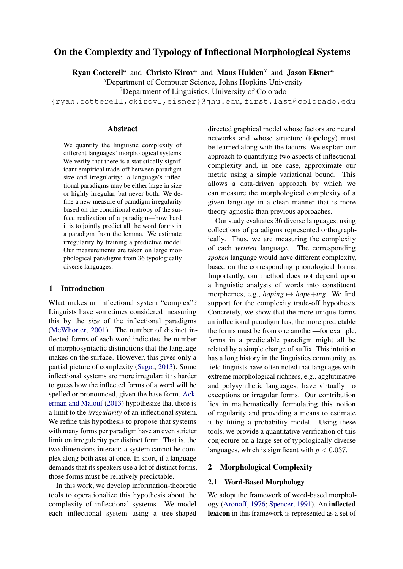# On the Complexity and Typology of Inflectional Morphological Systems

Ryan Cotterell<sup>o</sup> and Christo Kirov<sup>o</sup> and Mans Hulden<sup>2</sup> and Jason Eisner<sup>a</sup>

@Department of Computer Science, Johns Hopkins University

<sup>2</sup>Department of Linguistics, University of Colorado

{ryan.cotterell,ckirov1,eisner}@jhu.edu, first.last@colorado.edu

#### Abstract

We quantify the linguistic complexity of different languages' morphological systems. We verify that there is a statistically significant empirical trade-off between paradigm size and irregularity: a language's inflectional paradigms may be either large in size or highly irregular, but never both. We define a new measure of paradigm irregularity based on the conditional entropy of the surface realization of a paradigm—how hard it is to jointly predict all the word forms in a paradigm from the lemma. We estimate irregularity by training a predictive model. Our measurements are taken on large morphological paradigms from 36 typologically diverse languages.

#### <span id="page-0-0"></span>1 Introduction

What makes an inflectional system "complex"? Linguists have sometimes considered measuring this by the *size* of the inflectional paradigms [\(McWhorter,](#page-14-0) [2001\)](#page-14-0). The number of distinct inflected forms of each word indicates the number of morphosyntactic distinctions that the language makes on the surface. However, this gives only a partial picture of complexity [\(Sagot,](#page-14-1) [2013\)](#page-14-1). Some inflectional systems are more irregular: it is harder to guess how the inflected forms of a word will be spelled or pronounced, given the base form. [Ack](#page-12-0)[erman and Malouf](#page-12-0) [\(2013\)](#page-12-0) hypothesize that there is a limit to the *irregularity* of an inflectional system. We refine this hypothesis to propose that systems with many forms per paradigm have an even stricter limit on irregularity per distinct form. That is, the two dimensions interact: a system cannot be complex along both axes at once. In short, if a language demands that its speakers use a lot of distinct forms, those forms must be relatively predictable.

In this work, we develop information-theoretic tools to operationalize this hypothesis about the complexity of inflectional systems. We model each inflectional system using a tree-shaped directed graphical model whose factors are neural networks and whose structure (topology) must be learned along with the factors. We explain our approach to quantifying two aspects of inflectional complexity and, in one case, approximate our metric using a simple variational bound. This allows a data-driven approach by which we can measure the morphological complexity of a given language in a clean manner that is more theory-agnostic than previous approaches.

Our study evaluates 36 diverse languages, using collections of paradigms represented orthographically. Thus, we are measuring the complexity of each *written* language. The corresponding *spoken* language would have different complexity, based on the corresponding phonological forms. Importantly, our method does not depend upon a linguistic analysis of words into constituent morphemes, e.g., *hoping*  $\mapsto$  *hope*+*ing*. We find support for the complexity trade-off hypothesis. Concretely, we show that the more unique forms an inflectional paradigm has, the more predictable the forms must be from one another—for example, forms in a predictable paradigm might all be related by a simple change of suffix. This intuition has a long history in the linguistics community, as field linguists have often noted that languages with extreme morphological richness, e.g., agglutinative and polysynthetic languages, have virtually no exceptions or irregular forms. Our contribution lies in mathematically formulating this notion of regularity and providing a means to estimate it by fitting a probability model. Using these tools, we provide a quantitative verification of this conjecture on a large set of typologically diverse languages, which is significant with  $p < 0.037$ .

## 2 Morphological Complexity

#### 2.1 Word-Based Morphology

We adopt the framework of word-based morphology [\(Aronoff,](#page-12-1) [1976;](#page-12-1) [Spencer,](#page-14-2) [1991\)](#page-14-2). An inflected lexicon in this framework is represented as a set of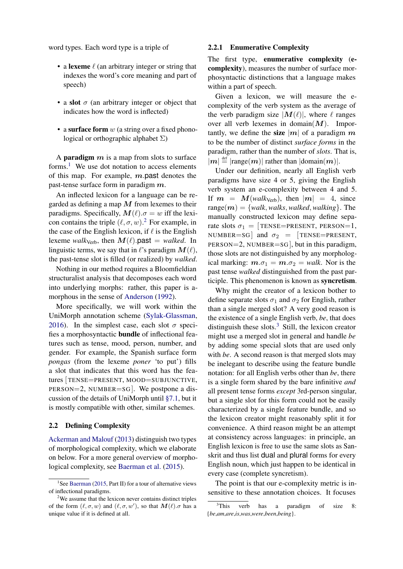word types. Each word type is a triple of

- a lexeme  $\ell$  (an arbitrary integer or string that indexes the word's core meaning and part of speech)
- a slot  $\sigma$  (an arbitrary integer or object that indicates how the word is inflected)
- a surface form  $w$  (a string over a fixed phonological or orthographic alphabet  $\Sigma$ )

A **paradigm**  $m$  is a map from slots to surface forms.<sup>[1](#page-1-0)</sup> We use dot notation to access elements of this map. For example,  $m$  past denotes the past-tense surface form in paradigm m.

An inflected lexicon for a language can be regarded as defining a map  $M$  from lexemes to their paradigms. Specifically,  $M(\ell) \cdot \sigma = w$  iff the lexicon contains the triple  $(\ell, \sigma, w)$ .<sup>[2](#page-1-1)</sup> For example, in the case of the English lexicon, if  $\ell$  is the English lexeme *walk*<sub>Verb</sub>, then  $M(\ell)$ .past = *walked*. In linguistic terms, we say that in  $\ell$ 's paradigm  $M(\ell)$ , the past-tense slot is filled (or realized) by *walked*.

Nothing in our method requires a Bloomfieldian structuralist analysis that decomposes each word into underlying morphs: rather, this paper is amorphous in the sense of [Anderson](#page-12-2) [\(1992\)](#page-12-2).

More specifically, we will work within the UniMorph annotation scheme [\(Sylak-Glassman,](#page-14-3) [2016\)](#page-14-3). In the simplest case, each slot  $\sigma$  specifies a morphosyntactic bundle of inflectional features such as tense, mood, person, number, and gender. For example, the Spanish surface form *pongas* (from the lexeme *poner* 'to put') fills a slot that indicates that this word has the features [ TENSE=PRESENT, MOOD=SUBJUNCTIVE, PERSON=2, NUMBER=SG ]. We postpone a discussion of the details of UniMorph until [§7.1,](#page-9-0) but it is mostly compatible with other, similar schemes.

#### 2.2 Defining Complexity

[Ackerman and Malouf](#page-12-0) [\(2013\)](#page-12-0) distinguish two types of morphological complexity, which we elaborate on below. For a more general overview of morphological complexity, see [Baerman et al.](#page-12-3) [\(2015\)](#page-12-3).

#### <span id="page-1-3"></span>2.2.1 Enumerative Complexity

The first type, enumerative complexity (ecomplexity), measures the number of surface morphosyntactic distinctions that a language makes within a part of speech.

Given a lexicon, we will measure the ecomplexity of the verb system as the average of the verb paradigm size  $|M(\ell)|$ , where  $\ell$  ranges over all verb lexemes in domain $(M)$ . Importantly, we define the size  $|m|$  of a paradigm m to be the number of distinct *surface forms* in the paradigm, rather than the number of *slots*. That is,  $|m| \stackrel{\text{def}}{=} |\text{range}(m)|$  rather than  $|\text{domain}(m)|$ .

Under our definition, nearly all English verb paradigms have size 4 or 5, giving the English verb system an e-complexity between 4 and 5. If  $m = M(walk<sub>Verb</sub>)$ , then  $|m| = 4$ , since  $range(m) = \{walk, walks, walked, walking\}$ . The manually constructed lexicon may define separate slots  $\sigma_1 =$  [TENSE=PRESENT, PERSON=1, NUMBER=SG and  $\sigma_2$  = [TENSE=PRESENT, PERSON=2, NUMBER=SG ], but in this paradigm, those slots are not distinguished by any morphological marking:  $m.\sigma_1 = m.\sigma_2 = walk$ . Nor is the past tense *walked* distinguished from the past participle. This phenomenon is known as syncretism.

Why might the creator of a lexicon bother to define separate slots  $\sigma_1$  and  $\sigma_2$  for English, rather than a single merged slot? A very good reason is the existence of a single English verb, *be*, that does distinguish these slots. $3$  Still, the lexicon creator might use a merged slot in general and handle *be* by adding some special slots that are used only with *be*. A second reason is that merged slots may be inelegant to describe using the feature bundle notation: for all English verbs other than *be*, there is a single form shared by the bare infinitive *and* all present tense forms *except* 3rd-person singular, but a single slot for this form could not be easily characterized by a single feature bundle, and so the lexicon creator might reasonably split it for convenience. A third reason might be an attempt at consistency across languages: in principle, an English lexicon is free to use the same slots as Sanskrit and thus list dual and plural forms for every English noun, which just happen to be identical in every case (complete syncretism).

The point is that our e-complexity metric is insensitive to these annotation choices. It focuses

<span id="page-1-0"></span><sup>&</sup>lt;sup>1</sup>See [Baerman](#page-12-4) [\(2015,](#page-12-4) Part II) for a tour of alternative views of inflectional paradigms.

<span id="page-1-1"></span><sup>2</sup>We assume that the lexicon never contains distinct triples of the form  $(\ell, \sigma, w)$  and  $(\ell, \sigma, w')$ , so that  $M(\ell)$ .  $\sigma$  has a unique value if it is defined at all.

<span id="page-1-2"></span><sup>&</sup>lt;sup>3</sup>This verb has a paradigm of size 8: {*be*,*am*,*are*,*is*,*was*,*were*,*been*,*being*}.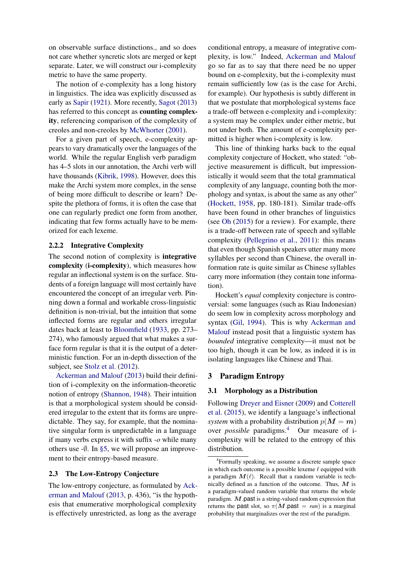on observable surface distinctions., and so does not care whether syncretic slots are merged or kept separate. Later, we will construct our i-complexity metric to have the same property.

The notion of e-complexity has a long history in linguistics. The idea was explicitly discussed as early as [Sapir](#page-14-4) [\(1921\)](#page-14-4). More recently, [Sagot](#page-14-1) [\(2013\)](#page-14-1) has referred to this concept as counting complexity, referencing comparison of the complexity of creoles and non-creoles by [McWhorter](#page-14-0) [\(2001\)](#page-14-0).

For a given part of speech, e-complexity appears to vary dramatically over the languages of the world. While the regular English verb paradigm has 4–5 slots in our annotation, the Archi verb will have thousands [\(Kibrik,](#page-13-0) [1998\)](#page-13-0). However, does this make the Archi system more complex, in the sense of being more difficult to describe or learn? Despite the plethora of forms, it is often the case that one can regularly predict one form from another, indicating that few forms actually have to be memorized for each lexeme.

#### 2.2.2 Integrative Complexity

The second notion of complexity is integrative complexity (i-complexity), which measures how regular an inflectional system is on the surface. Students of a foreign language will most certainly have encountered the concept of an irregular verb. Pinning down a formal and workable cross-linguistic definition is non-trivial, but the intuition that some inflected forms are regular and others irregular dates back at least to [Bloomfield](#page-12-5) [\(1933,](#page-12-5) pp. 273– 274), who famously argued that what makes a surface form regular is that it is the output of a deterministic function. For an in-depth dissection of the subject, see [Stolz et al.](#page-14-5) [\(2012\)](#page-14-5).

[Ackerman and Malouf](#page-12-0) [\(2013\)](#page-12-0) build their definition of i-complexity on the information-theoretic notion of entropy [\(Shannon,](#page-14-6) [1948\)](#page-14-6). Their intuition is that a morphological system should be considered irregular to the extent that its forms are unpredictable. They say, for example, that the nominative singular form is unpredictable in a language if many verbs express it with suffix -*o* while many others use  $-\emptyset$ . In [§5,](#page-6-0) we will propose an improvement to their entropy-based measure.

#### 2.3 The Low-Entropy Conjecture

The low-entropy conjecture, as formulated by [Ack](#page-12-0)[erman and Malouf](#page-12-0) [\(2013,](#page-12-0) p. 436), "is the hypothesis that enumerative morphological complexity is effectively unrestricted, as long as the average conditional entropy, a measure of integrative complexity, is low." Indeed, [Ackerman and Malouf](#page-12-0) go so far as to say that there need be no upper bound on e-complexity, but the i-complexity must remain sufficiently low (as is the case for Archi, for example). Our hypothesis is subtly different in that we postulate that morphological systems face a trade-off between e-complexity and i-complexity: a system may be complex under either metric, but not under both. The amount of e-complexity permitted is higher when i-complexity is low.

This line of thinking harks back to the equal complexity conjecture of Hockett, who stated: "objective measurement is difficult, but impressionistically it would seem that the total grammatical complexity of any language, counting both the morphology and syntax, is about the same as any other" [\(Hockett,](#page-13-1) [1958,](#page-13-1) pp. 180-181). Similar trade-offs have been found in other branches of linguistics (see [Oh](#page-14-7) [\(2015\)](#page-14-7) for a review). For example, there is a trade-off between rate of speech and syllable complexity [\(Pellegrino et al.,](#page-14-8) [2011\)](#page-14-8): this means that even though Spanish speakers utter many more syllables per second than Chinese, the overall information rate is quite similar as Chinese syllables carry more information (they contain tone information).

Hockett's *equal* complexity conjecture is controversial: some languages (such as Riau Indonesian) do seem low in complexity across morphology and syntax [\(Gil,](#page-13-2) [1994\)](#page-13-2). This is why [Ackerman and](#page-12-0) [Malouf](#page-12-0) instead posit that a linguistic system has *bounded* integrative complexity—it must not be too high, though it can be low, as indeed it is in isolating languages like Chinese and Thai.

### 3 Paradigm Entropy

## 3.1 Morphology as a Distribution

Following [Dreyer and Eisner](#page-13-3) [\(2009\)](#page-13-3) and [Cotterell](#page-13-4) [et al.](#page-13-4) [\(2015\)](#page-13-4), we identify a language's inflectional *system* with a probability distribution  $p(M = m)$ over *possible* paradigms.[4](#page-2-0) Our measure of icomplexity will be related to the entropy of this distribution.

<span id="page-2-0"></span><sup>4</sup> Formally speaking, we assume a discrete sample space in which each outcome is a possible lexeme  $\ell$  equipped with a paradigm  $M(\ell)$ . Recall that a random variable is technically defined as a function of the outcome. Thus,  $M$  is a paradigm-valued random variable that returns the whole paradigm.  $M$  past is a string-valued random expression that returns the past slot, so  $\pi(M.\text{past} = ran)$  is a marginal probability that marginalizes over the rest of the paradigm.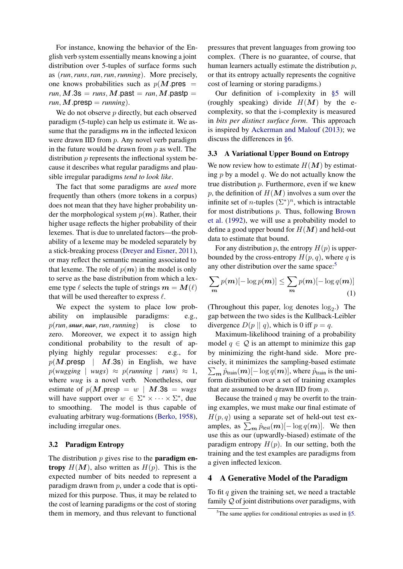For instance, knowing the behavior of the English verb system essentially means knowing a joint distribution over 5-tuples of surface forms such as (*run*,*runs*,*ran*,*run*,*running*). More precisely, one knows probabilities such as  $p(M)$ .pres =  $run, M.3s = runs, M.past = ran, M.past =$  $run, M$ .presp =  $running$ ).

We do not observe  $p$  directly, but each observed paradigm (5-tuple) can help us estimate it. We assume that the paradigms  $m$  in the inflected lexicon were drawn IID from *p*. Any novel verb paradigm in the future would be drawn from  $p$  as well. The distribution *p* represents the inflectional system because it describes what regular paradigms and plausible irregular paradigms *tend to look like*.

The fact that some paradigms are *used* more frequently than others (more tokens in a corpus) does not mean that they have higher probability under the morphological system  $p(m)$ . Rather, their higher usage reflects the higher probability of their lexemes. That is due to unrelated factors—the probability of a lexeme may be modeled separately by a stick-breaking process [\(Dreyer and Eisner,](#page-13-5) [2011\)](#page-13-5), or may reflect the semantic meaning associated to that lexeme. The role of  $p(m)$  in the model is only to serve as the base distribution from which a lexeme type  $\ell$  selects the tuple of strings  $m = M(\ell)$ that will be used thereafter to express  $\ell$ .

We expect the system to place low probability on implausible paradigms: e.g., p(*run*,*snur*, *nar*,*run*,*running*) is close to zero. Moreover, we expect it to assign high conditional probability to the result of applying highly regular processes: e.g., for  $p(M.\text{presp} \mid M.3s)$  in English, we have  $p(wugging \mid wugs) \approx p(runing \mid runs) \approx 1$ , where *wug* is a novel verb. Nonetheless, our estimate of  $p(M.\text{presp} = w \mid M.3s = wugs$ will have support over  $w \in \Sigma^* \times \cdots \times \Sigma^*$ , due to smoothing. The model is thus capable of evaluating arbitrary wug-formations [\(Berko,](#page-12-6) [1958\)](#page-12-6), including irregular ones.

#### 3.2 Paradigm Entropy

The distribution  $p$  gives rise to the **paradigm en**tropy  $H(M)$ , also written as  $H(p)$ . This is the expected number of bits needed to represent a paradigm drawn from  $p$ , under a code that is optimized for this purpose. Thus, it may be related to the cost of learning paradigms or the cost of storing them in memory, and thus relevant to functional

pressures that prevent languages from growing too complex. (There is no guarantee, of course, that human learners actually estimate the distribution p, or that its entropy actually represents the cognitive cost of learning or storing paradigms.)

Our definition of i-complexity in [§5](#page-6-0) will (roughly speaking) divide  $H(M)$  by the ecomplexity, so that the i-complexity is measured in *bits per distinct surface form*. This approach is inspired by [Ackerman and Malouf](#page-12-0) [\(2013\)](#page-12-0); we discuss the differences in [§6.](#page-7-0)

### <span id="page-3-1"></span>3.3 A Variational Upper Bound on Entropy

We now review how to estimate  $H(M)$  by estimating  $p$  by a model  $q$ . We do not actually know the true distribution  $p$ . Furthermore, even if we knew p, the definition of  $H(M)$  involves a sum over the infinite set of *n*-tuples  $(\Sigma^*)^n$ , which is intractable for most distributions p. Thus, following [Brown](#page-12-7) [et al.](#page-12-7) [\(1992\)](#page-12-7), we will use a probability model to define a good upper bound for  $H(M)$  and held-out data to estimate that bound.

For any distribution p, the entropy  $H(p)$  is upperbounded by the cross-entropy  $H(p, q)$ , where q is any other distribution over the same space:<sup>[5](#page-3-0)</sup>

$$
\sum_{m} p(m) [-\log p(m)] \le \sum_{m} p(m) [-\log q(m)] \tag{1}
$$

(Throughout this paper,  $log$  denotes  $log<sub>2</sub>$ .) The gap between the two sides is the Kullback-Leibler divergence  $D(p || q)$ , which is 0 iff  $p = q$ .

Maximum-likelihood training of a probability model  $q \in \mathcal{Q}$  is an attempt to minimize this gap by minimizing the right-hand side. More precisely, it minimizes the sampling-based estimate  $\sum_{\bm{m}} \hat{p}_{\text{train}}(\bm{m})$   $\left[-\log q(\bm{m})\right]$ , where  $\hat{p}_{\text{train}}$  is the uniform distribution over a set of training examples that are assumed to be drawn IID from  $p$ .

Because the trained  $q$  may be overfit to the training examples, we must make our final estimate of  $H(p, q)$  using a separate set of held-out test examples, as  $\sum_{m} \hat{p}_{test}(m)$ [- $\log q(m)$ ]. We then use this as our (upwardly-biased) estimate of the paradigm entropy  $H(p)$ . In our setting, both the training and the test examples are paradigms from a given inflected lexicon.

## 4 A Generative Model of the Paradigm

To fit  $q$  given the training set, we need a tractable family Q of joint distributions over paradigms, with

<span id="page-3-0"></span> $5$ The same applies for conditional entropies as used in [§5.](#page-6-0)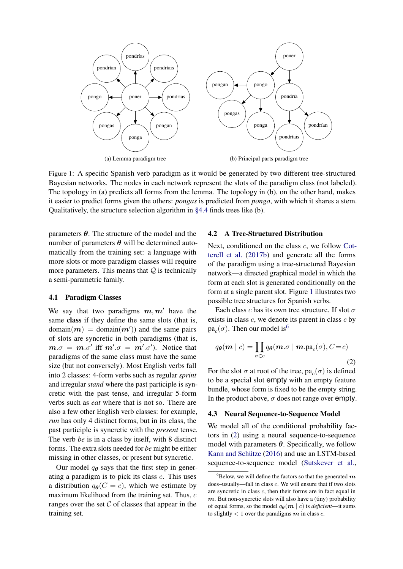<span id="page-4-0"></span>

Figure 1: A specific Spanish verb paradigm as it would be generated by two different tree-structured Bayesian networks. The nodes in each network represent the slots of the paradigm class (not labeled). The topology in (a) predicts all forms from the lemma. The topology in (b), on the other hand, makes  $\frac{d}{dt}$  shares a stem. Our discussed in  $\frac{d}{dt}$  finds the structure learning algorithm discussed in  $\frac{d}{dt}$  finds trees structured in  $\frac{d}{dt}$  finds trees structured in  $\frac{d}{dt}$  finds trees structured in  $\frac{d}{dt}$  $\frac{1}{1}$  to picture to  $\sum_{i=1}^{n} a_i$  shares an ionic trouble in  $\sum_{i=1}^{n} a_i$  for all  $\sum_{i=1}^{n} a_i$ . it easier to predict forms given the others: *pongas* is predicted from *pongo*, with which it shares a stem. Qualitatively, the structure selection algorithm in [§4.4](#page-5-0) finds trees like (b).

parameters θ. The structure of the model and the number of parameters θ will be determined automatically from the training set: a language with more parameters. This means that  $Q$  is technically a semi-parametric family. more slots or more paradigm classes will require

## <span id="page-4-4"></span>4.1 Paradigm Classes

 $\frac{1}{2}$  if they define the same alots (that is  $\frac{1}{2}$  and  $\frac{1}{2}$  the input source string. domain $(m) = \text{domain}(m')$ ) and the same pairs of slots are syncretic in both paradigms (that is,  $m.\sigma = m.\sigma'$  iff  $m'.\sigma = m'.\sigma'$ ). Notice that paradigms of the same class must have the same size (but not conversely). Most English verbs fall into 2 classes: 4-form verbs such as regular *sprint* and irregular *stand* where the past participle is syn- $\frac{1}{2}$  cretic with the past tense, and irregular 5-form the Will the past tense, and fregular 5 form also a few other English verb classes: for example, *run* has only 4 distinct forms, but in its class, the past participle is syncretic with the *present* tense. The verb *be* is in a class by itself, with 8 distinct forms. The extra slots needed for *be* might be either missing in other classes, or present but syncretic.  $\sum_{i=1}^{n} f(t_i, t_i)$ same class if they define the same slots (that is, We say that two paradigms  $m, m'$  have the

Our model  $q_{\theta}$  says that the first step in generating a paradigm is to pick its class  $c$ . This uses a distribution  $q_{\theta}(C = c)$ , which we estimate by maximum likelihood from the training set. Thus, c ranges over the set  $\mathcal C$  of classes that appear in the training set.

#### 4.2 A Tree-Structured Distribution

Next, conditioned on the class  $c$ , we follow [Cot-](#page-13-6) $\frac{1}{\pi}$  definitions of the optimal trees to select the optimal trees to select the optimal trees of the optimal trees of the optimal trees of the optimal trees of the optimal trees of the optimal trees of the optimal t  $f(x) = \frac{f(x) - f(y)}{g(x)}$  and generate an the room of the paradigm using a tree-structured Bayesian form at each slot is generated conditionally on the we are the directed spanning tree over the spanning tree over the spanning spanning of  $\frac{1}{2}$  found by the algorithm of Eq.  $\frac{1}{2}$ . possible tree structures for Spanish verbs.  $\text{Out}$ , conditioned on the enable the optimal transmitter of  $\text{Out}$ [terell et al.](#page-13-6) [\(2017b\)](#page-13-6) and generate all the forms where the directed spanning tree over  $\frac{1}{2}$  vertices, as  $\frac{1}{2}$  vertices, as  $\frac{1}{2}$  vertices, as  $\frac{1}{2}$ form at a single parent slot. Figure [1](#page-4-0) illustrates two network—a directed graphical model in which the

Each class c has its own tree structure. If slot  $\sigma$ exists in class  $c$ , we denote its parent in class  $c$  by  $pa_c(\sigma)$  $pa_c(\sigma)$  $pa_c(\sigma)$ . Then our model is<sup>6</sup>

<span id="page-4-2"></span>
$$
q_{\theta}(\boldsymbol{m} \mid c) = \prod_{\sigma \in c} q_{\theta}(\boldsymbol{m}.\sigma \mid \boldsymbol{m}.\text{pa}_{c}(\sigma), C = c)
$$
\n(2)

For the slot  $\sigma$  at root of the tree,  $pa_c(\sigma)$  is defined to be a special slot empty with an empty feature bundle, whose form is fixed to be the empty string. The candidate tree is the log-likelihood in the log-likelihood in the product above,  $\sigma$  does not range over  $err$ In the product above,  $\sigma$  does not range over empty.

#### <span id="page-4-3"></span>3 Neural Sequence-to-Sequence Model distributions are given by the distributions of the distributions of  $\alpha$ 3 Neural Sequence to Sequence Model 4.3 Neural Sequence-to-Sequence Model

We model all of the conditional probability fac-tors in [\(2\)](#page-4-2) using a neural sequence-to-sequence model with parameters  $\theta$ . Specifically, we follow [Kann and Schütze](#page-13-7) [\(2016\)](#page-13-7) and use an LSTM-based sequence-to-sequence model [\(Sutskever et al.,](#page-14-9)

<span id="page-4-1"></span> $^6$ Below, we will define the factors so that the generated  $m$ does–usually—fall in class c. We will ensure that if two slots are syncretic in class c, then their forms are in fact equal in  $m$ . But non-syncretic slots will also have a (tiny) probability of equal forms, so the model  $q_{\theta}(m \mid c)$  is *deficient*—it sums to slightly  $< 1$  over the paradigms  $m$  in class  $c$ .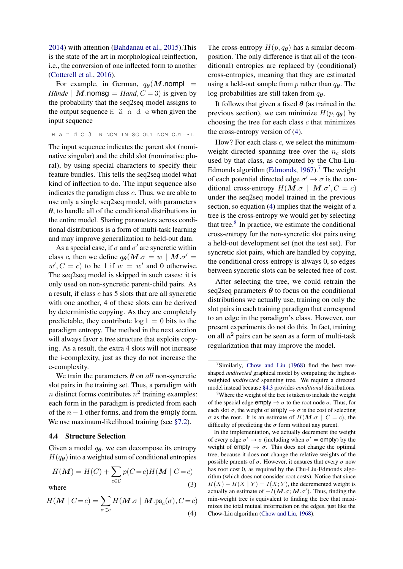[2014\)](#page-14-9) with attention [\(Bahdanau et al.,](#page-12-8) [2015\)](#page-12-8).This is the state of the art in morphological reinflection, i.e., the conversion of one inflected form to another [\(Cotterell et al.,](#page-13-8) [2016\)](#page-13-8).

For example, in German,  $q_{\theta}(M)$ .nompl = *Hände* | **M**.nomsg = *Hand*,  $C = 3$ ) is given by the probability that the seq2seq model assigns to the output sequence H ä n d e when given the input sequence

H a n d C=3 IN=NOM IN=SG OUT=NOM OUT=PL

The input sequence indicates the parent slot (nominative singular) and the child slot (nominative plural), by using special characters to specify their feature bundles. This tells the seq2seq model what kind of inflection to do. The input sequence also indicates the paradigm class c. Thus, we are able to use only a single seq2seq model, with parameters  $\theta$ , to handle all of the conditional distributions in the entire model. Sharing parameters across conditional distributions is a form of multi-task learning and may improve generalization to held-out data.

As a special case, if  $\sigma$  and  $\sigma'$  are syncretic within class c, then we define  $q_{\theta}(M.\sigma = w \mid M.\sigma')$  $w', C = c$  to be 1 if  $w = w'$  and 0 otherwise. The seq2seq model is skipped in such cases: it is only used on non-syncretic parent-child pairs. As a result, if class  $c$  has  $5$  slots that are all syncretic with one another, 4 of these slots can be derived by deterministic copying. As they are completely predictable, they contribute  $log 1 = 0$  bits to the paradigm entropy. The method in the next section will always favor a tree structure that exploits copying. As a result, the extra 4 slots will not increase the i-complexity, just as they do not increase the e-complexity.

We train the parameters  $\theta$  on *all* non-syncretic slot pairs in the training set. Thus, a paradigm with *n* distinct forms contributes  $n^2$  training examples: each form in the paradigm is predicted from each of the  $n - 1$  other forms, and from the empty form. We use maximum-likelihood training (see [§7.2\)](#page-9-1).

#### <span id="page-5-0"></span>4.4 Structure Selection

Given a model  $q_{\theta}$ , we can decompose its entropy  $H(q_{\theta})$  into a weighted sum of conditional entropies

$$
H(M) = H(C) + \sum_{c \in C} p(C = c)H(M \mid C = c)
$$
  
where (3)

$$
H(\mathbf{M} \mid C = c) = \sum_{\sigma \in c} H(\mathbf{M}.\sigma \mid \mathbf{M}.pa_c(\sigma), C = c)
$$
\n(4)

The cross-entropy  $H(p, q_{\theta})$  has a similar decomposition. The only difference is that all of the (conditional) entropies are replaced by (conditional) cross-entropies, meaning that they are estimated using a held-out sample from p rather than  $q_{\theta}$ . The log-probabilities are still taken from  $q_{\theta}$ .

It follows that given a fixed  $\theta$  (as trained in the previous section), we can minimize  $H(p, q<sub>\theta</sub>)$  by choosing the tree for each class  $c$  that minimizes the cross-entropy version of [\(4\)](#page-5-1).

How? For each class c, we select the minimumweight directed spanning tree over the  $n_c$  slots used by that class, as computed by the Chu-Liu-Edmonds algorithm [\(Edmonds,](#page-13-9)  $1967$  $1967$ ).<sup>7</sup> The weight of each potential directed edge  $\sigma' \to \sigma$  is the conditional cross-entropy  $H(M.\sigma \mid M.\sigma', C = c)$ under the seq2seq model trained in the previous section, so equation [\(4\)](#page-5-1) implies that the weight of a tree is the cross-entropy we would get by selecting that tree. $8$  In practice, we estimate the conditional cross-entropy for the non-syncretic slot pairs using a held-out development set (not the test set). For syncretic slot pairs, which are handled by copying, the conditional cross-entropy is always 0, so edges between syncretic slots can be selected free of cost.

After selecting the tree, we could retrain the seq2seq parameters  $\theta$  to focus on the conditional distributions we actually use, training on only the slot pairs in each training paradigm that correspond to an edge in the paradigm's class. However, our present experiments do not do this. In fact, training on all  $n^2$  pairs can be seen as a form of multi-task regularization that may improve the model.

<span id="page-5-2"></span><sup>&</sup>lt;sup>7</sup>Similarly, [Chow and Liu](#page-12-9) [\(1968\)](#page-12-9) find the best treeshaped *undirected* graphical model by computing the highestweighted *undirected* spanning tree. We require a directed model instead because [§4.3](#page-4-3) provides *conditional* distributions.

<span id="page-5-3"></span><sup>&</sup>lt;sup>8</sup>Where the weight of the tree is taken to include the weight of the special edge empty  $\rightarrow \sigma$  to the root node  $\sigma$ . Thus, for each slot  $\sigma$ , the weight of empty  $\rightarrow \sigma$  is the cost of selecting  $\sigma$  as the root. It is an estimate of  $H(M \cdot \sigma \mid C = c)$ , the difficulty of predicting the  $\sigma$  form without any parent.

<span id="page-5-1"></span>In the implementation, we actually decrement the weight of every edge  $\sigma' \to \sigma$  (including when  $\sigma' = \text{empty}$ ) by the weight of empty  $\rightarrow \sigma$ . This does not change the optimal tree, because it does not change the relative weights of the possible parents of  $\sigma$ . However, it ensures that every  $\sigma$  now has root cost 0, as required by the Chu-Liu-Edmonds algorithm (which does not consider root costs). Notice that since  $H(X) - H(X | Y) = I(X; Y)$ , the decremented weight is actually an estimate of  $-I(M.\sigma; M.\sigma')$ . Thus, finding the min-weight tree is equivalent to finding the tree that maximizes the total mutual information on the edges, just like the Chow-Liu algorithm [\(Chow and Liu,](#page-12-9) [1968\)](#page-12-9).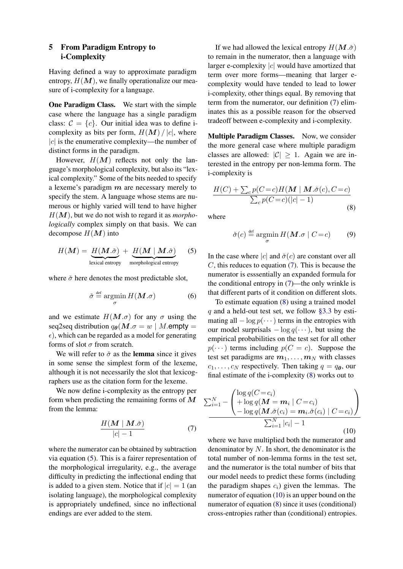## <span id="page-6-0"></span>5 From Paradigm Entropy to i-Complexity

Having defined a way to approximate paradigm entropy,  $H(M)$ , we finally operationalize our measure of i-complexity for a language.

One Paradigm Class. We start with the simple case where the language has a single paradigm class:  $C = \{c\}$ . Our initial idea was to define icomplexity as bits per form,  $H(M) / |c|$ , where  $|c|$  is the enumerative complexity—the number of distinct forms in the paradigm.

However,  $H(M)$  reflects not only the language's morphological complexity, but also its "lexical complexity." Some of the bits needed to specify a lexeme's paradigm  $m$  are necessary merely to specify the stem. A language whose stems are numerous or highly varied will tend to have higher H(M), but we do not wish to regard it as *morphologically* complex simply on that basis. We can decompose  $H(M)$  into

<span id="page-6-1"></span>
$$
H(\boldsymbol{M}) = \underbrace{H(\boldsymbol{M}.\boldsymbol{\check{\sigma}})}_{\text{lexical entropy}} + \underbrace{H(\boldsymbol{M} \mid \boldsymbol{M}.\boldsymbol{\check{\sigma}})}_{\text{morphological entropy}} \quad (5)
$$

where  $\check{\sigma}$  here denotes the most predictable slot,

$$
\check{\sigma} \stackrel{\text{def}}{=} \operatorname*{argmin}_{\sigma} H(M.\sigma) \tag{6}
$$

and we estimate  $H(M, \sigma)$  for any  $\sigma$  using the seq2seq distribution  $q_{\theta}(M.\sigma = w \mid M.\text{empty} =$  $\epsilon$ ), which can be regarded as a model for generating forms of slot  $\sigma$  from scratch.

We will refer to  $\check{\sigma}$  as the lemma since it gives in some sense the simplest form of the lexeme, although it is not necessarily the slot that lexicographers use as the citation form for the lexeme.

We now define i-complexity as the entropy per form when predicting the remaining forms of  $M$ from the lemma:

<span id="page-6-2"></span>
$$
\frac{H(M \mid M.\check{\sigma})}{|c| - 1} \tag{7}
$$

where the numerator can be obtained by subtraction via equation [\(5\)](#page-6-1). This is a fairer representation of the morphological irregularity, e.g., the average difficulty in predicting the inflectional ending that is added to a given stem. Notice that if  $|c| = 1$  (an isolating language), the morphological complexity is appropriately undefined, since no inflectional endings are ever added to the stem.

If we had allowed the lexical entropy  $H(\mathbf{M}.\check{\sigma})$ to remain in the numerator, then a language with larger e-complexity  $|c|$  would have amortized that term over more forms—meaning that larger ecomplexity would have tended to lead to lower i-complexity, other things equal. By removing that term from the numerator, our definition [\(7\)](#page-6-2) eliminates this as a possible reason for the observed tradeoff between e-complexity and i-complexity.

Multiple Paradigm Classes. Now, we consider the more general case where multiple paradigm classes are allowed:  $|C| \geq 1$ . Again we are interested in the entropy per non-lemma form. The i-complexity is

<span id="page-6-3"></span>
$$
\frac{H(C) + \sum_{c} p(C=c)H(M \mid M.\check{\sigma}(c), C=c)}{\sum_{c} p(C=c)(|c|-1)}
$$
\n(8)

where

$$
\check{\sigma}(c) \stackrel{\text{def}}{=} \operatorname*{argmin}_{\sigma} H(M.\sigma \mid C = c) \tag{9}
$$

In the case where |c| and  $\check{\sigma}(c)$  are constant over all  $C$ , this reduces to equation  $(7)$ . This is because the numerator is esssentially an expanded formula for the conditional entropy in [\(7\)](#page-6-2)—the only wrinkle is that different parts of it condition on different slots.

To estimate equation [\(8\)](#page-6-3) using a trained model q and a held-out test set, we follow [§3.3](#page-3-1) by estimating all  $-\log p(\cdots)$  terms in the entropies with our model surprisals  $-\log q(\cdots)$ , but using the empirical probabilities on the test set for all other  $p(\cdots)$  terms including  $p(C = c)$ . Suppose the test set paradigms are  $m_1, \ldots, m_N$  with classes  $c_1, \ldots, c_N$  respectively. Then taking  $q = q_{\theta}$ , our final estimate of the i-complexity [\(8\)](#page-6-3) works out to

<span id="page-6-4"></span>
$$
\sum_{i=1}^{N} - \left( \frac{\log q(C = c_i)}{\sum_{i=1}^{N} \log q(M = m_i \mid C = c_i)} - \frac{\log q(M \cdot \check{\sigma}(c_i) = m_i \cdot \check{\sigma}(c_i) \mid C = c_i)}{\sum_{i=1}^{N} |c_i| - 1} \right)
$$
\n(10)

where we have multiplied both the numerator and denominator by  $N$ . In short, the denominator is the total number of non-lemma forms in the test set, and the numerator is the total number of bits that our model needs to predict these forms (including the paradigm shapes  $c_i$ ) given the lemmas. The numerator of equation [\(10\)](#page-6-4) is an upper bound on the numerator of equation [\(8\)](#page-6-3) since it uses (conditional) cross-entropies rather than (conditional) entropies.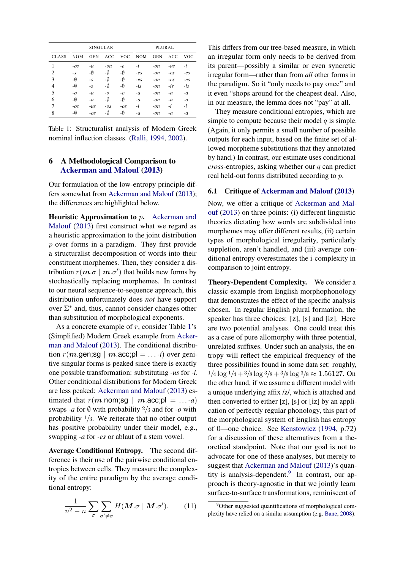<span id="page-7-1"></span>

|              | <b>SINGULAR</b> |            |            |            | PLURAL     |            |       |            |
|--------------|-----------------|------------|------------|------------|------------|------------|-------|------------|
| <b>CLASS</b> | <b>NOM</b>      | <b>GEN</b> | <b>ACC</b> | <b>VOC</b> | <b>NOM</b> | <b>GEN</b> | ACC   | <b>VOC</b> |
|              | $-OS$           | $-u$       | $-on$      | $-e$       | -i         | $-on$      | $-us$ | -i         |
| 2            | $-S$            | -0         | -0         | -Ø         | $-es$      | $-on$      | $-es$ | $-es$      |
| 3            | -0              | $-S$       | -Ø         | -Ø         | $-es$      | $-on$      | $-es$ | $-es$      |
| 4            | -0              | $-S$       | -Ø         | -Ø         | $-is$      | $-on$      | $-is$ | $-is$      |
| 5            | $-0$            | $-u$       | $-0$       | $-0$       | $-a$       | $-on$      | $-a$  | $-a$       |
| 6            | -0              | $-u$       | -Ø         | -Ø         | $-a$       | $-on$      | $-a$  | $-a$       |
| 7            | $-OS$           | $-us$      | $-OS$      | $-OS$      | -i         | $-on$      | $-i$  | $-i$       |
| 8            | -Ø              | $-OS$      | -Ø         | -Ø         | $-a$       | $-on$      | $-a$  | $-a$       |

Table 1: Structuralist analysis of Modern Greek nominal inflection classes. [\(Ralli,](#page-14-10) [1994,](#page-14-10) [2002\)](#page-14-11).

## <span id="page-7-0"></span>6 A Methodological Comparison to [Ackerman and Malouf](#page-12-0) [\(2013\)](#page-12-0)

Our formulation of the low-entropy principle differs somewhat from [Ackerman and Malouf](#page-12-0) [\(2013\)](#page-12-0); the differences are highlighted below.

Heuristic Approximation to p. [Ackerman and](#page-12-0) [Malouf](#page-12-0) [\(2013\)](#page-12-0) first construct what we regard as a heuristic approximation to the joint distribution p over forms in a paradigm. They first provide a structuralist decomposition of words into their constituent morphemes. Then, they consider a distribution  $r(\boldsymbol{m}.\sigma \mid \boldsymbol{m}.\sigma')$  that builds new forms by stochastically replacing morphemes. In contrast to our neural sequence-to-sequence approach, this distribution unfortunately does *not* have support over  $\Sigma^*$  and, thus, cannot consider changes other than substitution of morphological exponents.

As a concrete example of  $r$ , consider Table [1'](#page-7-1)s (Simplified) Modern Greek example from [Acker](#page-12-0)[man and Malouf](#page-12-0) [\(2013\)](#page-12-0). The conditional distribution  $r(m \text{.gen};\text{sg} \mid m \text{.acc};\text{pl} = ... \cdot i)$  over genitive singular forms is peaked since there is exactly one possible transformation: substituting *-us* for *-i*. Other conditional distributions for Modern Greek are less peaked: [Ackerman and Malouf](#page-12-0) [\(2013\)](#page-12-0) estimated that  $r(m.nom;sq | m.acc;p] = ... -a)$ swaps *-a* for  $\emptyset$  with probability  $\frac{2}{3}$  and for *-o* with probability  $\frac{1}{3}$ . We reiterate that no other output has positive probability under their model, e.g., swapping *-a* for *-es* or ablaut of a stem vowel.

Average Conditional Entropy. The second difference is their use of the pairwise conditional entropies between cells. They measure the complexity of the entire paradigm by the average conditional entropy:

<span id="page-7-3"></span>
$$
\frac{1}{n^2 - n} \sum_{\sigma} \sum_{\sigma' \neq \sigma} H(M. \sigma \mid M. \sigma'). \tag{11}
$$

This differs from our tree-based measure, in which an irregular form only needs to be derived from its parent—possibly a similar or even syncretic irregular form—rather than from *all* other forms in the paradigm. So it "only needs to pay once" and it even "shops around for the cheapest deal. Also, in our measure, the lemma does not "pay" at all.

They measure conditional entropies, which are simple to compute because their model  $q$  is simple. (Again, it only permits a small number of possible outputs for each input, based on the finite set of allowed morpheme substitutions that they annotated by hand.) In contrast, our estimate uses conditional *cross*-entropies, asking whether our q can predict real held-out forms distributed according to p.

## 6.1 Critique of [Ackerman and Malouf](#page-12-0) [\(2013\)](#page-12-0)

Now, we offer a critique of [Ackerman and Mal](#page-12-0)[ouf](#page-12-0) [\(2013\)](#page-12-0) on three points: (i) different linguistic theories dictating how words are subdivided into morphemes may offer different results, (ii) certain types of morphological irregularity, particularly suppletion, aren't handled, and (iii) average conditional entropy overestimates the i-complexity in comparison to joint entropy.

Theory-Dependent Complexity. We consider a classic example from English morphophonology that demonstrates the effect of the specific analysis chosen. In regular English plural formation, the speaker has three choices:  $[z]$ ,  $[s]$  and  $[iz]$ . Here are two potential analyses. One could treat this as a case of pure allomorphy with three potential, unrelated suffixes. Under such an analysis, the entropy will reflect the empirical frequency of the three possibilities found in some data set: roughly,  $1/4 \log 1/4 + 3/8 \log 3/8 + 3/8 \log 3/8 \approx 1.56127$ . On the other hand, if we assume a different model with a unique underlying affix /z/, which is attached and then converted to either  $[z]$ ,  $[s]$  or  $[iz]$  by an application of perfectly regular phonology, this part of the morphological system of English has entropy of 0—one choice. See [Kenstowicz](#page-13-10) [\(1994,](#page-13-10) p.72) for a discussion of these alternatives from a theoretical standpoint. Note that our goal is not to advocate for one of these analyses, but merely to suggest that [Ackerman and Malouf](#page-12-0) [\(2013\)](#page-12-0)'s quan-tity is analysis-dependent.<sup>[9](#page-7-2)</sup> In contrast, our approach is theory-agnostic in that we jointly learn surface-to-surface transformations, reminiscent of

<span id="page-7-2"></span><sup>&</sup>lt;sup>9</sup>Other suggested quantifications of morphological complexity have relied on a similar assumption (e.g. [Bane,](#page-12-10) [2008\)](#page-12-10).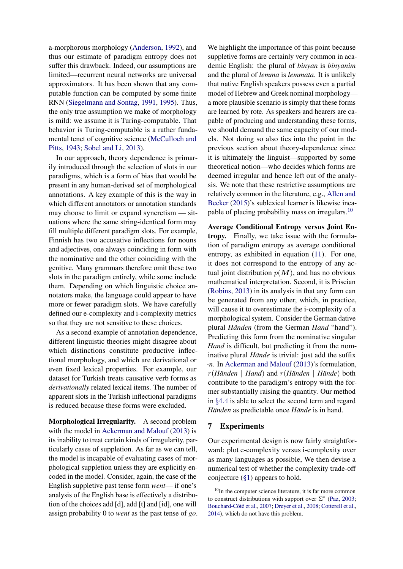a-morphorous morphology [\(Anderson,](#page-12-2) [1992\)](#page-12-2), and thus our estimate of paradigm entropy does not suffer this drawback. Indeed, our assumptions are limited—recurrent neural networks are universal approximators. It has been shown that any computable function can be computed by some finite RNN [\(Siegelmann and Sontag,](#page-14-12) [1991,](#page-14-12) [1995\)](#page-14-13). Thus, the only true assumption we make of morphology is mild: we assume it is Turing-computable. That behavior is Turing-computable is a rather fundamental tenet of cognitive science [\(McCulloch and](#page-14-14) [Pitts,](#page-14-14) [1943;](#page-14-14) [Sobel and Li,](#page-14-15) [2013\)](#page-14-15).

In our approach, theory dependence is primarily introduced through the selection of slots in our paradigms, which is a form of bias that would be present in any human-derived set of morphological annotations. A key example of this is the way in which different annotators or annotation standards may choose to limit or expand syncretism — situations where the same string-identical form may fill multiple different paradigm slots. For example, Finnish has two accusative inflections for nouns and adjectives, one always coinciding in form with the nominative and the other coinciding with the genitive. Many grammars therefore omit these two slots in the paradigm entirely, while some include them. Depending on which linguistic choice annotators make, the language could appear to have more or fewer paradigm slots. We have carefully defined our e-complexity and i-complexity metrics so that they are not sensitive to these choices.

As a second example of annotation dependence, different linguistic theories might disagree about which distinctions constitute productive inflectional morphology, and which are derivational or even fixed lexical properties. For example, our dataset for Turkish treats causative verb forms as *derivationally* related lexical items. The number of apparent slots in the Turkish inflectional paradigms is reduced because these forms were excluded.

Morphological Irregularity. A second problem with the model in [Ackerman and Malouf](#page-12-0) [\(2013\)](#page-12-0) is its inability to treat certain kinds of irregularity, particularly cases of suppletion. As far as we can tell, the model is incapable of evaluating cases of morphological suppletion unless they are explicitly encoded in the model. Consider, again, the case of the English suppletive past tense form *went*— if one's analysis of the English base is effectively a distribution of the choices add [d], add [t] and [1d], one will assign probability 0 to *went* as the past tense of *go*. We highlight the importance of this point because suppletive forms are certainly very common in academic English: the plural of *binyan* is *binyanim* and the plural of *lemma* is *lemmata*. It is unlikely that native English speakers possess even a partial model of Hebrew and Greek nominal morphology a more plausible scenario is simply that these forms are learned by rote. As speakers and hearers are capable of producing and understanding these forms, we should demand the same capacity of our models. Not doing so also ties into the point in the previous section about theory-dependence since it is ultimately the linguist—supported by some theoretical notion—who decides which forms are deemed irregular and hence left out of the analysis. We note that these restrictive assumptions are relatively common in the literature, e.g., [Allen and](#page-12-11) [Becker](#page-12-11) [\(2015\)](#page-12-11)'s sublexical learner is likewise inca-pable of placing probability mass on irregulars.<sup>[10](#page-8-0)</sup>

Average Conditional Entropy versus Joint Entropy. Finally, we take issue with the formulation of paradigm entropy as average conditional entropy, as exhibited in equation [\(11\)](#page-7-3). For one, it does not correspond to the entropy of any actual joint distribution  $p(M)$ , and has no obvious mathematical interpretation. Second, it is Priscian [\(Robins,](#page-14-16) [2013\)](#page-14-16) in its analysis in that any form can be generated from any other, which, in practice, will cause it to overestimate the i-complexity of a morphological system. Consider the German dative plural *Händen* (from the German *Hand* "hand"). Predicting this form from the nominative singular *Hand* is difficult, but predicting it from the nominative plural *Hände* is trivial: just add the suffix *-n*. In [Ackerman and Malouf](#page-12-0) [\(2013\)](#page-12-0)'s formulation, r(*Händen* | *Hand*) and r(*Händen* | *Hände*) both contribute to the paradigm's entropy with the former substantially raising the quantity. Our method in §[4](#page-5-0).4 is able to select the second term and regard *Händen* as predictable once *Hände* is in hand.

### 7 Experiments

Our experimental design is now fairly straightforward: plot e-complexity versus i-complexity over as many languages as possible, We then devise a numerical test of whether the complexity trade-off conjecture [\(§1\)](#page-0-0) appears to hold.

<span id="page-8-0"></span> $10$ In the computer science literature, it is far more common to construct distributions with support over  $\Sigma^*$  [\(Paz,](#page-14-17) [2003;](#page-14-17) [Bouchard-Côté et al.,](#page-12-12) [2007;](#page-12-12) [Dreyer et al.,](#page-13-11) [2008;](#page-13-11) [Cotterell et al.,](#page-13-12) [2014\)](#page-13-12), which do not have this problem.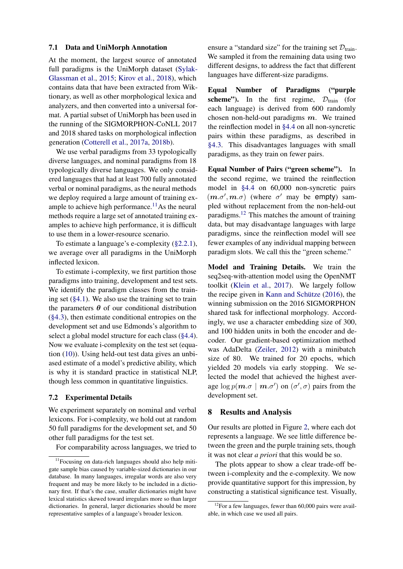#### <span id="page-9-0"></span>7.1 Data and UniMorph Annotation

At the moment, the largest source of annotated full paradigms is the UniMorph dataset [\(Sylak-](#page-14-18)[Glassman et al.,](#page-14-18) [2015;](#page-14-18) [Kirov et al.,](#page-13-13) [2018\)](#page-13-13), which contains data that have been extracted from Wiktionary, as well as other morphological lexica and analyzers, and then converted into a universal format. A partial subset of UniMorph has been used in the running of the SIGMORPHON-CoNLL 2017 and 2018 shared tasks on morphological inflection generation [\(Cotterell et al.,](#page-12-13) [2017a,](#page-12-13) [2018b\)](#page-12-14).

We use verbal paradigms from 33 typologically diverse languages, and nominal paradigms from 18 typologically diverse languages. We only considered languages that had at least 700 fully annotated verbal or nominal paradigms, as the neural methods we deploy required a large amount of training ex-ample to achieve high performance.<sup>[11](#page-9-2)</sup>As the neural methods require a large set of annotated training examples to achieve high performance, it is difficult to use them in a lower-resource scenario.

To estimate a language's e-complexity [\(§2.2.1\)](#page-1-3), we average over all paradigms in the UniMorph inflected lexicon.

To estimate i-complexity, we first partition those paradigms into training, development and test sets. We identify the paradigm classes from the training set  $(\S 4.1)$ . We also use the training set to train the parameters  $\theta$  of our conditional distribution [\(§4.3\)](#page-4-3), then estimate conditional entropies on the development set and use Edmonds's algorithm to select a global model structure for each class [\(§4.4\)](#page-5-0). Now we evaluate i-complexity on the test set (equation [\(10\)](#page-6-4)). Using held-out test data gives an unbiased estimate of a model's predictive ability, which is why it is standard practice in statistical NLP, though less common in quantitative linguistics.

#### <span id="page-9-1"></span>7.2 Experimental Details

We experiment separately on nominal and verbal lexicons. For i-complexity, we hold out at random 50 full paradigms for the development set, and 50 other full paradigms for the test set.

For comparability across languages, we tried to

ensure a "standard size" for the training set  $\mathcal{D}_{\text{train}}$ . We sampled it from the remaining data using two different designs, to address the fact that different languages have different-size paradigms.

Equal Number of Paradigms ("purple scheme"). In the first regime,  $D_{\text{train}}$  (for each language) is derived from 600 randomly chosen non-held-out paradigms  $m$ . We trained the reinflection model in [§4.4](#page-5-0) on all non-syncretic pairs within these paradigms, as described in [§4.3.](#page-4-3) This disadvantages languages with small paradigms, as they train on fewer pairs.

Equal Number of Pairs ("green scheme"). In the second regime, we trained the reinflection model in [§4.4](#page-5-0) on 60,000 non-syncretic pairs  $(m.\sigma', m.\sigma)$  (where  $\sigma'$  may be empty) sampled without replacement from the non-held-out paradigms.[12](#page-9-3) This matches the amount of training data, but may disadvantage languages with large paradigms, since the reinflection model will see fewer examples of any individual mapping between paradigm slots. We call this the "green scheme."

Model and Training Details. We train the seq2seq-with-attention model using the OpenNMT toolkit [\(Klein et al.,](#page-13-14) [2017\)](#page-13-14). We largely follow the recipe given in [Kann and Schütze](#page-13-7) [\(2016\)](#page-13-7), the winning submission on the 2016 SIGMORPHON shared task for inflectional morphology. Accordingly, we use a character embedding size of 300, and 100 hidden units in both the encoder and decoder. Our gradient-based optimization method was AdaDelta [\(Zeiler,](#page-14-19) [2012\)](#page-14-19) with a minibatch size of 80. We trained for 20 epochs, which yielded 20 models via early stopping. We selected the model that achieved the highest average  $\log p(\boldsymbol{m}.\sigma \mid \boldsymbol{m}.\sigma')$  on  $(\sigma', \sigma)$  pairs from the development set.

#### 8 Results and Analysis

Our results are plotted in Figure [2,](#page-10-0) where each dot represents a language. We see little difference between the green and the purple training sets, though it was not clear *a priori* that this would be so.

The plots appear to show a clear trade-off between i-complexity and the e-complexity. We now provide quantitative support for this impression, by constructing a statistical significance test. Visually,

<span id="page-9-2"></span><sup>&</sup>lt;sup>11</sup>Focusing on data-rich languages should also help mitigate sample bias caused by variable-sized dictionaries in our database. In many languages, irregular words are also very frequent and may be more likely to be included in a dictionary first. If that's the case, smaller dictionaries might have lexical statistics skewed toward irregulars more so than larger dictionaries. In general, larger dictionaries should be more representative samples of a language's broader lexicon.

<span id="page-9-3"></span> $12$ For a few languages, fewer than 60,000 pairs were available, in which case we used all pairs.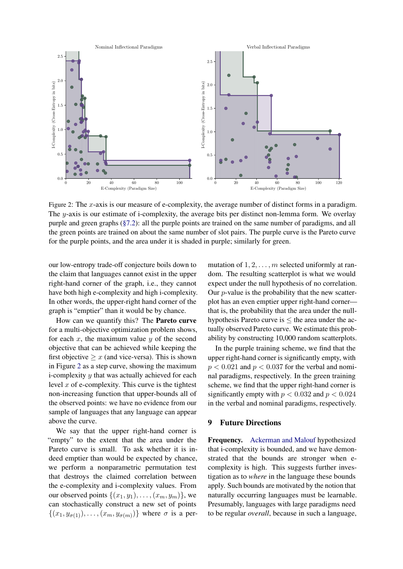<span id="page-10-0"></span>

Figure 2: The x-axis is our measure of e-complexity, the average number of distinct forms in a paradigm. The y-axis is our estimate of i-complexity, the average bits per distinct non-lemma form. We overlay purple and green graphs [\(§7.2\)](#page-9-1): all the purple points are trained on the same number of paradigms, and all the green points are trained on about the same number of slot pairs. The purple curve is the Pareto curve for the purple points, and the area under it is shaded in purple; similarly for green.

our low-entropy trade-off conjecture boils down to the claim that languages cannot exist in the upper right-hand corner of the graph, i.e., they cannot have both high e-complexity and high i-complexity. In other words, the upper-right hand corner of the graph is "emptier" than it would be by chance.

How can we quantify this? The Pareto curve for a multi-objective optimization problem shows, for each  $x$ , the maximum value  $y$  of the second objective that can be achieved while keeping the first objective  $\geq x$  (and vice-versa). This is shown in Figure [2](#page-10-0) as a step curve, showing the maximum i-complexity  $y$  that was actually achieved for each level  $x$  of e-complexity. This curve is the tightest non-increasing function that upper-bounds all of the observed points: we have no evidence from our sample of languages that any language can appear above the curve.

We say that the upper right-hand corner is "empty" to the extent that the area under the Pareto curve is small. To ask whether it is indeed emptier than would be expected by chance, we perform a nonparametric permutation test that destroys the claimed correlation between the e-complexity and i-complexity values. From our observed points  $\{(x_1,y_1),\ldots,(x_m,y_m)\}\)$ , we can stochastically construct a new set of points  $\{(x_1, y_{\sigma(1)}), \ldots, (x_m, y_{\sigma(m)})\}$  where  $\sigma$  is a per-

mutation of  $1, 2, \ldots, m$  selected uniformly at random. The resulting scatterplot is what we would expect under the null hypothesis of no correlation. Our  $p$ -value is the probability that the new scatterplot has an even emptier upper right-hand corner that is, the probability that the area under the nullhypothesis Pareto curve is  $\leq$  the area under the actually observed Pareto curve. We estimate this probability by constructing 10,000 random scatterplots.

In the purple training scheme, we find that the upper right-hand corner is significantly empty, with  $p < 0.021$  and  $p < 0.037$  for the verbal and nominal paradigms, respectively. In the green training scheme, we find that the upper right-hand corner is significantly empty with  $p < 0.032$  and  $p < 0.024$ in the verbal and nominal paradigms, respectively.

### 9 Future Directions

Frequency. [Ackerman and Malouf](#page-12-0) hypothesized that i-complexity is bounded, and we have demonstrated that the bounds are stronger when ecomplexity is high. This suggests further investigation as to *where* in the language these bounds apply. Such bounds are motivated by the notion that naturally occurring languages must be learnable. Presumably, languages with large paradigms need to be regular *overall*, because in such a language,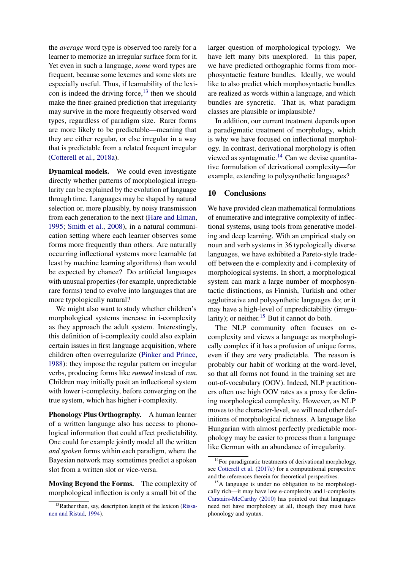the *average* word type is observed too rarely for a learner to memorize an irregular surface form for it. Yet even in such a language, *some* word types are frequent, because some lexemes and some slots are especially useful. Thus, if learnability of the lexicon is indeed the driving force, $^{13}$  $^{13}$  $^{13}$  then we should make the finer-grained prediction that irregularity may survive in the more frequently observed word types, regardless of paradigm size. Rarer forms are more likely to be predictable—meaning that they are either regular, or else irregular in a way that is predictable from a related frequent irregular [\(Cotterell et al.,](#page-12-15) [2018a\)](#page-12-15).

Dynamical models. We could even investigate directly whether patterns of morphological irregularity can be explained by the evolution of language through time. Languages may be shaped by natural selection or, more plausibly, by noisy transmission from each generation to the next [\(Hare and Elman,](#page-13-15) [1995;](#page-13-15) [Smith et al.,](#page-14-20) [2008\)](#page-14-20), in a natural communication setting where each learner observes some forms more frequently than others. Are naturally occurring inflectional systems more learnable (at least by machine learning algorithms) than would be expected by chance? Do artificial languages with unusual properties (for example, unpredictable rare forms) tend to evolve into languages that are more typologically natural?

We might also want to study whether children's morphological systems increase in i-complexity as they approach the adult system. Interestingly, this definition of i-complexity could also explain certain issues in first language acquisition, where children often overregularize [\(Pinker and Prince,](#page-14-21) [1988\)](#page-14-21): they impose the regular pattern on irregular verbs, producing forms like *runned* instead of *ran*. Children may initially posit an inflectional system with lower i-complexity, before converging on the true system, which has higher i-complexity.

Phonology Plus Orthography. A human learner of a written language also has access to phonological information that could affect predictability. One could for example jointly model all the written *and spoken* forms within each paradigm, where the Bayesian network may sometimes predict a spoken slot from a written slot or vice-versa.

Moving Beyond the Forms. The complexity of morphological inflection is only a small bit of the

larger question of morphological typology. We have left many bits unexplored. In this paper, we have predicted orthographic forms from morphosyntactic feature bundles. Ideally, we would like to also predict which morphosyntactic bundles are realized as words within a language, and which bundles are syncretic. That is, what paradigm classes are plausible or implausible?

In addition, our current treatment depends upon a paradigmatic treatment of morphology, which is why we have focused on inflectional morphology. In contrast, derivational morphology is often viewed as syntagmatic.<sup>[14](#page-11-1)</sup> Can we devise quantitative formulation of derivational complexity—for example, extending to polysynthetic languages?

### 10 Conclusions

We have provided clean mathematical formulations of enumerative and integrative complexity of inflectional systems, using tools from generative modeling and deep learning. With an empirical study on noun and verb systems in 36 typologically diverse languages, we have exhibited a Pareto-style tradeoff between the e-complexity and i-complexity of morphological systems. In short, a morphological system can mark a large number of morphosyntactic distinctions, as Finnish, Turkish and other agglutinative and polysynthetic languages do; or it may have a high-level of unpredictability (irregu-larity); or neither.<sup>[15](#page-11-2)</sup> But it cannot do both.

The NLP community often focuses on ecomplexity and views a language as morphologically complex if it has a profusion of unique forms, even if they are very predictable. The reason is probably our habit of working at the word-level, so that all forms not found in the training set are out-of-vocabulary (OOV). Indeed, NLP practitioners often use high OOV rates as a proxy for defining morphological complexity. However, as NLP moves to the character-level, we will need other definitions of morphological richness. A language like Hungarian with almost perfectly predictable morphology may be easier to process than a language like German with an abundance of irregularity.

<span id="page-11-0"></span> $13R$ ather than, say, description length of the lexicon [\(Rissa](#page-14-22)[nen and Ristad,](#page-14-22) [1994\)](#page-14-22).

<span id="page-11-1"></span><sup>&</sup>lt;sup>14</sup>For paradigmatic treatments of derivational morphology, see [Cotterell et al.](#page-13-16) [\(2017c\)](#page-13-16) for a computational perspective and the references therein for theoretical perspectives.

<span id="page-11-2"></span><sup>&</sup>lt;sup>15</sup>A language is under no obligation to be morphologically rich—it may have low e-complexity and i-complexity. [Carstairs-McCarthy](#page-12-16) [\(2010\)](#page-12-16) has pointed out that languages need not have morphology at all, though they must have phonology and syntax.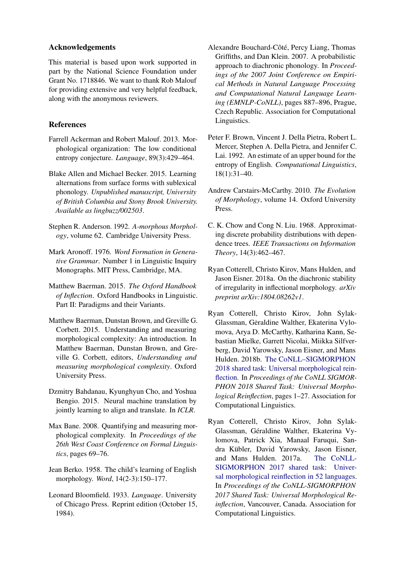## Acknowledgements

This material is based upon work supported in part by the National Science Foundation under Grant No. 1718846. We want to thank Rob Malouf for providing extensive and very helpful feedback, along with the anonymous reviewers.

# References

- <span id="page-12-0"></span>Farrell Ackerman and Robert Malouf. 2013. Morphological organization: The low conditional entropy conjecture. *Language*, 89(3):429–464.
- <span id="page-12-11"></span>Blake Allen and Michael Becker. 2015. Learning alternations from surface forms with sublexical phonology. *Unpublished manuscript, University of British Columbia and Stony Brook University. Available as lingbuzz/002503*.
- <span id="page-12-2"></span>Stephen R. Anderson. 1992. *A-morphous Morphology*, volume 62. Cambridge University Press.
- <span id="page-12-1"></span>Mark Aronoff. 1976. *Word Formation in Generative Grammar*. Number 1 in Linguistic Inquiry Monographs. MIT Press, Cambridge, MA.
- <span id="page-12-4"></span>Matthew Baerman. 2015. *The Oxford Handbook of Inflection*. Oxford Handbooks in Linguistic. Part II: Paradigms and their Variants.
- <span id="page-12-3"></span>Matthew Baerman, Dunstan Brown, and Greville G. Corbett. 2015. Understanding and measuring morphological complexity: An introduction. In Matthew Baerman, Dunstan Brown, and Greville G. Corbett, editors, *Understanding and measuring morphological complexity*. Oxford University Press.
- <span id="page-12-8"></span>Dzmitry Bahdanau, Kyunghyun Cho, and Yoshua Bengio. 2015. Neural machine translation by jointly learning to align and translate. In *ICLR*.
- <span id="page-12-10"></span>Max Bane. 2008. Quantifying and measuring morphological complexity. In *Proceedings of the 26th West Coast Conference on Formal Linguistics*, pages 69–76.
- <span id="page-12-6"></span>Jean Berko. 1958. The child's learning of English morphology. *Word*, 14(2-3):150–177.
- <span id="page-12-5"></span>Leonard Bloomfield. 1933. *Language*. University of Chicago Press. Reprint edition (October 15, 1984).
- <span id="page-12-12"></span>Alexandre Bouchard-Côté, Percy Liang, Thomas Griffiths, and Dan Klein. 2007. A probabilistic approach to diachronic phonology. In *Proceedings of the 2007 Joint Conference on Empirical Methods in Natural Language Processing and Computational Natural Language Learning (EMNLP-CoNLL)*, pages 887–896, Prague, Czech Republic. Association for Computational Linguistics.
- <span id="page-12-7"></span>Peter F. Brown, Vincent J. Della Pietra, Robert L. Mercer, Stephen A. Della Pietra, and Jennifer C. Lai. 1992. An estimate of an upper bound for the entropy of English. *Computational Linguistics*, 18(1):31–40.
- <span id="page-12-16"></span>Andrew Carstairs-McCarthy. 2010. *The Evolution of Morphology*, volume 14. Oxford University Press.
- <span id="page-12-9"></span>C. K. Chow and Cong N. Liu. 1968. Approximating discrete probability distributions with dependence trees. *IEEE Transactions on Information Theory*, 14(3):462–467.
- <span id="page-12-15"></span>Ryan Cotterell, Christo Kirov, Mans Hulden, and Jason Eisner. 2018a. On the diachronic stability of irregularity in inflectional morphology. *arXiv preprint arXiv:1804.08262v1*.
- <span id="page-12-14"></span>Ryan Cotterell, Christo Kirov, John Sylak-Glassman, Geraldine Walther, Ekaterina Vylomova, Arya D. McCarthy, Katharina Kann, Sebastian Mielke, Garrett Nicolai, Miikka Silfverberg, David Yarowsky, Jason Eisner, and Mans Hulden. 2018b. [The CoNLL–SIGMORPHON](http://aclweb.org/anthology/K18-3001) [2018 shared task: Universal morphological rein](http://aclweb.org/anthology/K18-3001)[flection.](http://aclweb.org/anthology/K18-3001) In *Proceedings of the CoNLL SIGMOR-PHON 2018 Shared Task: Universal Morphological Reinflection*, pages 1–27. Association for Computational Linguistics.
- <span id="page-12-13"></span>Ryan Cotterell, Christo Kirov, John Sylak-Glassman, Géraldine Walther, Ekaterina Vylomova, Patrick Xia, Manaal Faruqui, Sandra Kübler, David Yarowsky, Jason Eisner, and Mans Hulden. 2017a. [The CoNLL-](https://arxiv.org/abs/1706.09031)[SIGMORPHON 2017 shared task: Univer](https://arxiv.org/abs/1706.09031)[sal morphological reinflection in 52 languages.](https://arxiv.org/abs/1706.09031) In *Proceedings of the CoNLL-SIGMORPHON 2017 Shared Task: Universal Morphological Reinflection*, Vancouver, Canada. Association for Computational Linguistics.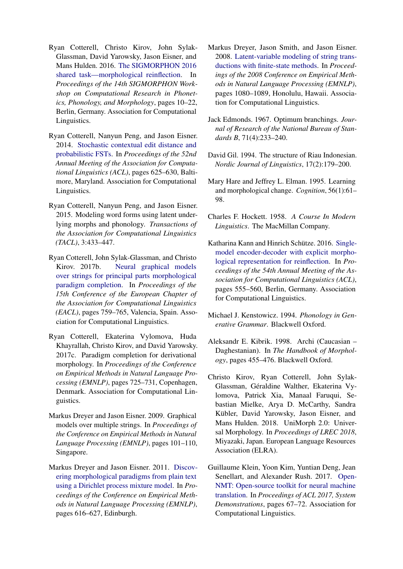- <span id="page-13-8"></span>Ryan Cotterell, Christo Kirov, John Sylak-Glassman, David Yarowsky, Jason Eisner, and Mans Hulden. 2016. [The SIGMORPHON 2016](http://anthology.aclweb.org/W16-2002) [shared task—morphological reinflection.](http://anthology.aclweb.org/W16-2002) In *Proceedings of the 14th SIGMORPHON Workshop on Computational Research in Phonetics, Phonology, and Morphology*, pages 10–22, Berlin, Germany. Association for Computational Linguistics.
- <span id="page-13-12"></span>Ryan Cotterell, Nanyun Peng, and Jason Eisner. 2014. [Stochastic contextual edit distance and](http://www.aclweb.org/anthology/P14-2102) [probabilistic FSTs.](http://www.aclweb.org/anthology/P14-2102) In *Proceedings of the 52nd Annual Meeting of the Association for Computational Linguistics (ACL)*, pages 625–630, Baltimore, Maryland. Association for Computational Linguistics.
- <span id="page-13-4"></span>Ryan Cotterell, Nanyun Peng, and Jason Eisner. 2015. Modeling word forms using latent underlying morphs and phonology. *Transactions of the Association for Computational Linguistics (TACL)*, 3:433–447.
- <span id="page-13-6"></span>Ryan Cotterell, John Sylak-Glassman, and Christo Kirov. 2017b. [Neural graphical models](http://www.aclweb.org/anthology/E17-2120) [over strings for principal parts morphological](http://www.aclweb.org/anthology/E17-2120) [paradigm completion.](http://www.aclweb.org/anthology/E17-2120) In *Proceedings of the 15th Conference of the European Chapter of the Association for Computational Linguistics (EACL)*, pages 759–765, Valencia, Spain. Association for Computational Linguistics.
- <span id="page-13-16"></span>Ryan Cotterell, Ekaterina Vylomova, Huda Khayrallah, Christo Kirov, and David Yarowsky. 2017c. Paradigm completion for derivational morphology. In *Proceedings of the Conference on Empirical Methods in Natural Language Processing (EMNLP)*, pages 725–731, Copenhagen, Denmark. Association for Computational Linguistics.
- <span id="page-13-3"></span>Markus Dreyer and Jason Eisner. 2009. Graphical models over multiple strings. In *Proceedings of the Conference on Empirical Methods in Natural Language Processing (EMNLP)*, pages 101–110, Singapore.
- <span id="page-13-5"></span>Markus Dreyer and Jason Eisner. 2011. [Discov](http://cs.jhu.edu/~jason/papers/#dreyer-eisner-2011)[ering morphological paradigms from plain text](http://cs.jhu.edu/~jason/papers/#dreyer-eisner-2011) [using a Dirichlet process mixture model.](http://cs.jhu.edu/~jason/papers/#dreyer-eisner-2011) In *Proceedings of the Conference on Empirical Methods in Natural Language Processing (EMNLP)*, pages 616–627, Edinburgh.
- <span id="page-13-11"></span>Markus Dreyer, Jason Smith, and Jason Eisner. 2008. [Latent-variable modeling of string trans](http://www.aclweb.org/anthology/D08-1113)[ductions with finite-state methods.](http://www.aclweb.org/anthology/D08-1113) In *Proceedings of the 2008 Conference on Empirical Methods in Natural Language Processing (EMNLP)*, pages 1080–1089, Honolulu, Hawaii. Association for Computational Linguistics.
- <span id="page-13-9"></span>Jack Edmonds. 1967. Optimum branchings. *Journal of Research of the National Bureau of Standards B*, 71(4):233–240.
- <span id="page-13-2"></span>David Gil. 1994. The structure of Riau Indonesian. *Nordic Journal of Linguistics*, 17(2):179–200.
- <span id="page-13-15"></span>Mary Hare and Jeffrey L. Elman. 1995. Learning and morphological change. *Cognition*, 56(1):61– 98.
- <span id="page-13-1"></span>Charles F. Hockett. 1958. *A Course In Modern Linguistics*. The MacMillan Company.
- <span id="page-13-7"></span>Katharina Kann and Hinrich Schütze. 2016. [Single](http://anthology.aclweb.org/P16-2090)[model encoder-decoder with explicit morpho](http://anthology.aclweb.org/P16-2090)[logical representation for reinflection.](http://anthology.aclweb.org/P16-2090) In *Proceedings of the 54th Annual Meeting of the Association for Computational Linguistics (ACL)*, pages 555–560, Berlin, Germany. Association for Computational Linguistics.
- <span id="page-13-10"></span>Michael J. Kenstowicz. 1994. *Phonology in Generative Grammar*. Blackwell Oxford.
- <span id="page-13-0"></span>Aleksandr E. Kibrik. 1998. Archi (Caucasian – Daghestanian). In *The Handbook of Morphology*, pages 455–476. Blackwell Oxford.
- <span id="page-13-13"></span>Christo Kirov, Ryan Cotterell, John Sylak-Glassman, Géraldine Walther, Ekaterina Vylomova, Patrick Xia, Manaal Faruqui, Sebastian Mielke, Arya D. McCarthy, Sandra Kübler, David Yarowsky, Jason Eisner, and Mans Hulden. 2018. UniMorph 2.0: Universal Morphology. In *Proceedings of LREC 2018*, Miyazaki, Japan. European Language Resources Association (ELRA).
- <span id="page-13-14"></span>Guillaume Klein, Yoon Kim, Yuntian Deng, Jean Senellart, and Alexander Rush. 2017. [Open-](http://aclweb.org/anthology/P17-4012)[NMT: Open-source toolkit for neural machine](http://aclweb.org/anthology/P17-4012) [translation.](http://aclweb.org/anthology/P17-4012) In *Proceedings of ACL 2017, System Demonstrations*, pages 67–72. Association for Computational Linguistics.